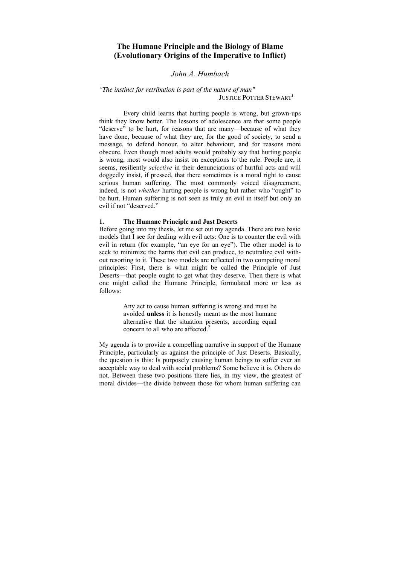# **The Humane Principle and the Biology of Blame (Evolutionary Origins of the Imperative to Inflict)**

## *John A. Humbach*

## *"The instinct for retribution is part of the nature of man"*  JUSTICE POTTER STEWART<sup>1</sup>

Every child learns that hurting people is wrong, but grown-ups think they know better. The lessons of adolescence are that some people "deserve" to be hurt, for reasons that are many—because of what they have done, because of what they are, for the good of society, to send a message, to defend honour, to alter behaviour, and for reasons more obscure. Even though most adults would probably say that hurting people is wrong, most would also insist on exceptions to the rule. People are, it seems, resiliently *selective* in their denunciations of hurtful acts and will doggedly insist, if pressed, that there sometimes is a moral right to cause serious human suffering. The most commonly voiced disagreement, indeed, is not *whether* hurting people is wrong but rather who "ought" to be hurt. Human suffering is not seen as truly an evil in itself but only an evil if not "deserved."

#### **1. The Humane Principle and Just Deserts**

Before going into my thesis, let me set out my agenda. There are two basic models that I see for dealing with evil acts: One is to counter the evil with evil in return (for example, "an eye for an eye"). The other model is to seek to minimize the harms that evil can produce, to neutralize evil without resorting to it. These two models are reflected in two competing moral principles: First, there is what might be called the Principle of Just Deserts—that people ought to get what they deserve. Then there is what one might called the Humane Principle, formulated more or less as follows:

> Any act to cause human suffering is wrong and must be avoided **unless** it is honestly meant as the most humane alternative that the situation presents, according equal concern to all who are affected.<sup>2</sup>

My agenda is to provide a compelling narrative in support of the Humane Principle, particularly as against the principle of Just Deserts. Basically, the question is this: Is purposely causing human beings to suffer ever an acceptable way to deal with social problems? Some believe it is. Others do not. Between these two positions there lies, in my view, the greatest of moral divides—the divide between those for whom human suffering can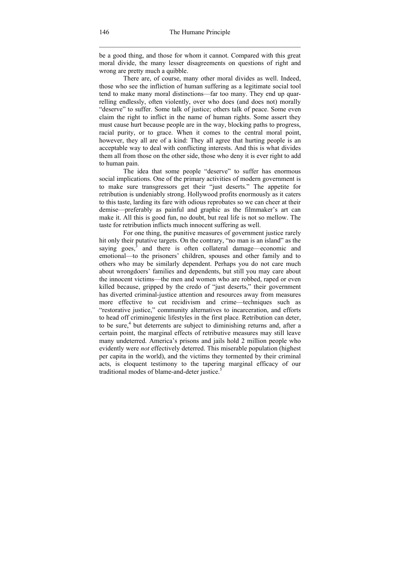be a good thing, and those for whom it cannot. Compared with this great moral divide, the many lesser disagreements on questions of right and wrong are pretty much a quibble.

There are, of course, many other moral divides as well. Indeed, those who see the infliction of human suffering as a legitimate social tool tend to make many moral distinctions—far too many. They end up quarrelling endlessly, often violently, over who does (and does not) morally "deserve" to suffer. Some talk of justice; others talk of peace. Some even claim the right to inflict in the name of human rights. Some assert they must cause hurt because people are in the way, blocking paths to progress, racial purity, or to grace. When it comes to the central moral point, however, they all are of a kind: They all agree that hurting people is an acceptable way to deal with conflicting interests. And this is what divides them all from those on the other side, those who deny it is ever right to add to human pain.

The idea that some people "deserve" to suffer has enormous social implications. One of the primary activities of modern government is to make sure transgressors get their "just deserts." The appetite for retribution is undeniably strong. Hollywood profits enormously as it caters to this taste, larding its fare with odious reprobates so we can cheer at their demise—preferably as painful and graphic as the filmmaker's art can make it. All this is good fun, no doubt, but real life is not so mellow. The taste for retribution inflicts much innocent suffering as well.

For one thing, the punitive measures of government justice rarely hit only their putative targets. On the contrary, "no man is an island" as the saying goes, $3$  and there is often collateral damage—economic and emotional—to the prisoners' children, spouses and other family and to others who may be similarly dependent. Perhaps you do not care much about wrongdoers' families and dependents, but still you may care about the innocent victims—the men and women who are robbed, raped or even killed because, gripped by the credo of "just deserts," their government has diverted criminal-justice attention and resources away from measures more effective to cut recidivism and crime—techniques such as "restorative justice," community alternatives to incarceration, and efforts to head off criminogenic lifestyles in the first place. Retribution can deter, to be sure,<sup>4</sup> but deterrents are subject to diminishing returns and, after a certain point, the marginal effects of retributive measures may still leave many undeterred. America's prisons and jails hold 2 million people who evidently were *not* effectively deterred. This miserable population (highest per capita in the world), and the victims they tormented by their criminal acts, is eloquent testimony to the tapering marginal efficacy of our traditional modes of blame-and-deter justice.<sup>5</sup>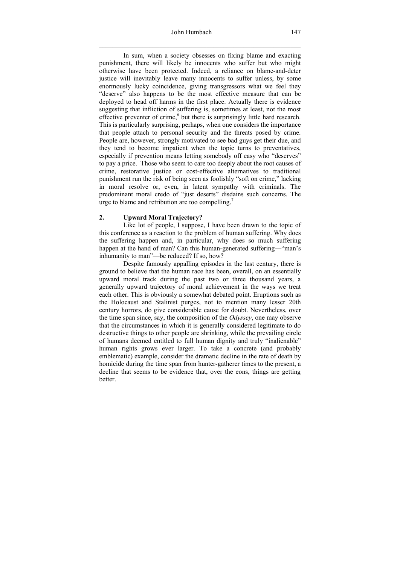John Humbach

In sum, when a society obsesses on fixing blame and exacting punishment, there will likely be innocents who suffer but who might otherwise have been protected. Indeed, a reliance on blame-and-deter justice will inevitably leave many innocents to suffer unless, by some enormously lucky coincidence, giving transgressors what we feel they "deserve" also happens to be the most effective measure that can be deployed to head off harms in the first place. Actually there is evidence suggesting that infliction of suffering is, sometimes at least, not the most effective preventer of crime,<sup>6</sup> but there is surprisingly little hard research. This is particularly surprising, perhaps, when one considers the importance that people attach to personal security and the threats posed by crime. People are, however, strongly motivated to see bad guys get their due, and they tend to become impatient when the topic turns to preventatives, especially if prevention means letting somebody off easy who "deserves" to pay a price. Those who seem to care too deeply about the root causes of crime, restorative justice or cost-effective alternatives to traditional punishment run the risk of being seen as foolishly "soft on crime," lacking in moral resolve or, even, in latent sympathy with criminals. The predominant moral credo of "just deserts" disdains such concerns. The urge to blame and retribution are too compelling.<sup>7</sup>

#### **2. Upward Moral Trajectory?**

Like lot of people, I suppose, I have been drawn to the topic of this conference as a reaction to the problem of human suffering. Why does the suffering happen and, in particular, why does so much suffering happen at the hand of man? Can this human-generated suffering—"man's inhumanity to man"—be reduced? If so, how?

Despite famously appalling episodes in the last century, there is ground to believe that the human race has been, overall, on an essentially upward moral track during the past two or three thousand years, a generally upward trajectory of moral achievement in the ways we treat each other. This is obviously a somewhat debated point. Eruptions such as the Holocaust and Stalinist purges, not to mention many lesser 20th century horrors, do give considerable cause for doubt. Nevertheless, over the time span since, say, the composition of the *Odyssey*, one may observe that the circumstances in which it is generally considered legitimate to do destructive things to other people are shrinking, while the prevailing circle of humans deemed entitled to full human dignity and truly "inalienable" human rights grows ever larger. To take a concrete (and probably emblematic) example, consider the dramatic decline in the rate of death by homicide during the time span from hunter-gatherer times to the present, a decline that seems to be evidence that, over the eons, things are getting better.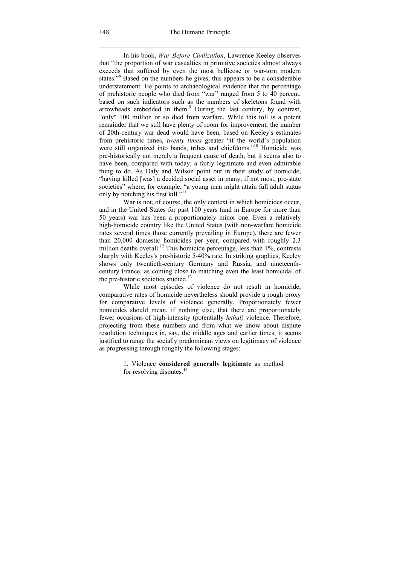In his book, *War Before Civilization*, Lawrence Keeley observes that "the proportion of war casualties in primitive societies almost always exceeds that suffered by even the most bellicose or war-torn modern states."<sup>8</sup> Based on the numbers he gives, this appears to be a considerable understatement. He points to archaeological evidence that the percentage of prehistoric people who died from "war" ranged from 5 to 40 percent, based on such indicators such as the numbers of skeletons found with based on such mucaturs such as the numbers of  $\frac{1}{2}$ . "only" 100 million or so died from warfare. While this toll is a potent remainder that we still have plenty of room for improvement, the number of 20th-century war dead would have been, based on Keeley's estimates from prehistoric times, *twenty times* greater "if the world's population were still organized into bands, tribes and chiefdoms."<sup>10</sup> Homicide was pre-historically not merely a frequent cause of death, but it seems also to have been, compared with today, a fairly legitimate and even admirable thing to do. As Daly and Wilson point out in their study of homicide, "having killed [was] a decided social asset in many, if not most, pre-state societies" where, for example, "a young man might attain full adult status only by notching his first kill."<sup>11</sup>

War is not, of course, the only context in which homicides occur, and in the United States for past 100 years (and in Europe for more than 50 years) war has been a proportionately minor one. Even a relatively high-homicide country like the United States (with non-warfare homicide rates several times those currently prevailing in Europe), there are fewer than 20,000 domestic homicides per year, compared with roughly 2.3 million deaths overall.<sup>12</sup> This homicide percentage, less than 1%, contrasts sharply with Keeley's pre-historic 5-40% rate. In striking graphics, Keeley shows only twentieth-century Germany and Russia, and nineteenthcentury France, as coming close to matching even the least homicidal of the pre-historic societies studied.<sup>13</sup>

While most episodes of violence do not result in homicide, comparative rates of homicide nevertheless should provide a rough proxy for comparative levels of violence generally. Proportionately fewer homicides should mean, if nothing else, that there are proportionately fewer occasions of high-intensity (potentially *lethal*) violence. Therefore, projecting from these numbers and from what we know about dispute resolution techniques in, say, the middle ages and earlier times, it seems justified to range the socially predominant views on legitimacy of violence as progressing through roughly the following stages:

> 1. Violence **considered generally legitimate** as method for resolving disputes. $14$

148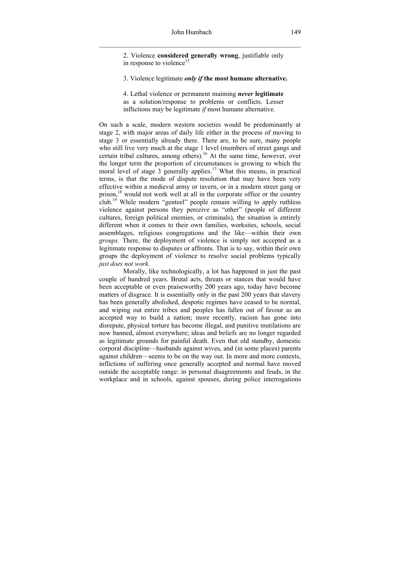2. Violence **considered generally wrong**, justifiable only in response to violence<sup>15</sup>

3. Violence legitimate *only if* **the most humane alternative.**

4. Lethal violence or permanent maiming *never* **legitimate** as a solution/response to problems or conflicts. Lesser inflictions may be legitimate *if* most humane alternative.

On such a scale, modern western societies would be predominantly at stage 2, with major areas of daily life either in the process of moving to stage 3 or essentially already there. There are, to be sure, many people who still live very much at the stage 1 level (members of street gangs and certain tribal cultures, among others).<sup>16</sup> At the same time, however, over the longer term the proportion of circumstances is growing to which the moral level of stage  $3$  generally applies.<sup>17</sup> What this means, in practical terms, is that the mode of dispute resolution that may have been very effective within a medieval army or tavern, or in a modern street gang or prison,<sup>18</sup> would not work well at all in the corporate office or the country club.<sup>19</sup> While modern "genteel" people remain willing to apply ruthless violence against persons they perceive as "other" (people of different cultures, foreign political enemies, or criminals), the situation is entirely different when it comes to their own families, worksites, schools, social assemblages, religious congregations and the like—within their own *groups.* There, the deployment of violence is simply not accepted as a legitimate response to disputes or affronts. That is to say, within their own groups the deployment of violence to resolve social problems typically *just does not work.*

Morally, like technologically, a lot has happened in just the past couple of hundred years. Brutal acts, threats or stances that would have been acceptable or even praiseworthy 200 years ago, today have become matters of disgrace. It is essentially only in the past 200 years that slavery has been generally abolished, despotic regimes have ceased to be normal, and wiping out entire tribes and peoples has fallen out of favour as an accepted way to build a nation; more recently, racism has gone into disrepute, physical torture has become illegal, and punitive mutilations are now banned, almost everywhere; ideas and beliefs are no longer regarded as legitimate grounds for painful death. Even that old standby, domestic corporal discipline—husbands against wives, and (in some places) parents against children—seems to be on the way out. In more and more contexts, inflictions of suffering once generally accepted and normal have moved outside the acceptable range: in personal disagreements and feuds, in the workplace and in schools, against spouses, during police interrogations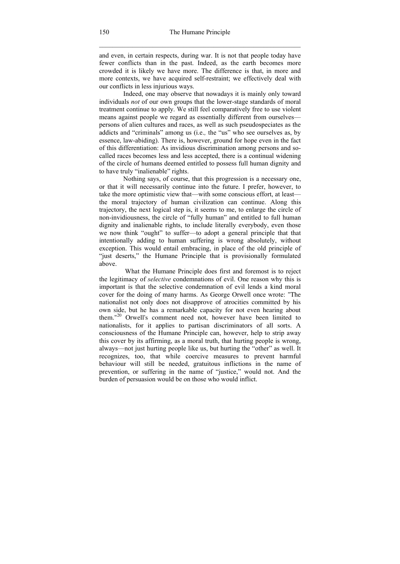and even, in certain respects, during war. It is not that people today have fewer conflicts than in the past. Indeed, as the earth becomes more crowded it is likely we have more. The difference is that, in more and more contexts, we have acquired self-restraint; we effectively deal with our conflicts in less injurious ways.

Indeed, one may observe that nowadays it is mainly only toward individuals *not* of our own groups that the lower-stage standards of moral treatment continue to apply. We still feel comparatively free to use violent means against people we regard as essentially different from ourselves persons of alien cultures and races, as well as such pseudospeciates as the addicts and "criminals" among us (i.e.*,* the "us" who see ourselves as, by essence, law-abiding). There is, however, ground for hope even in the fact of this differentiation: As invidious discrimination among persons and socalled races becomes less and less accepted, there is a continual widening of the circle of humans deemed entitled to possess full human dignity and to have truly "inalienable" rights.

Nothing says, of course, that this progression is a necessary one, or that it will necessarily continue into the future. I prefer, however, to take the more optimistic view that—with some conscious effort, at least the moral trajectory of human civilization can continue. Along this trajectory, the next logical step is, it seems to me, to enlarge the circle of non-invidiousness, the circle of "fully human" and entitled to full human dignity and inalienable rights, to include literally everybody, even those we now think "ought" to suffer—to adopt a general principle that that intentionally adding to human suffering is wrong absolutely, without exception. This would entail embracing, in place of the old principle of "just deserts," the Humane Principle that is provisionally formulated above.

 What the Humane Principle does first and foremost is to reject the legitimacy of *selective* condemnations of evil. One reason why this is important is that the selective condemnation of evil lends a kind moral cover for the doing of many harms. As George Orwell once wrote: "The nationalist not only does not disapprove of atrocities committed by his own side, but he has a remarkable capacity for not even hearing about them."<sup>20</sup> Orwell's comment need not, however have been limited to nationalists, for it applies to partisan discriminators of all sorts. A consciousness of the Humane Principle can, however, help to strip away this cover by its affirming, as a moral truth, that hurting people is wrong, always—not just hurting people like us, but hurting the "other" as well. It recognizes, too, that while coercive measures to prevent harmful behaviour will still be needed, gratuitous inflictions in the name of prevention, or suffering in the name of "justice," would not. And the burden of persuasion would be on those who would inflict.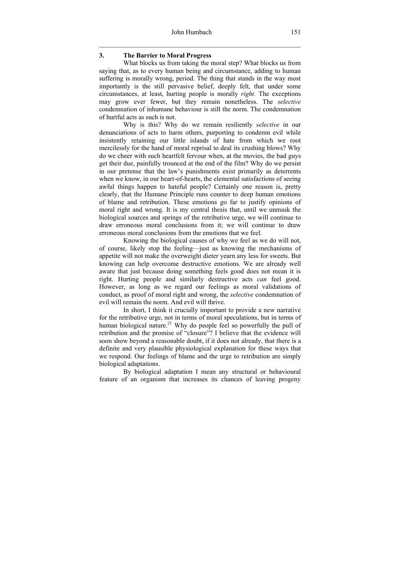### **3. The Barrier to Moral Progress**

What blocks us from taking the moral step? What blocks us from saying that, as to every human being and circumstance, adding to human suffering is morally wrong, period. The thing that stands in the way most importantly is the still pervasive belief, deeply felt, that under some circumstances, at least, hurting people is morally *right.* The exceptions may grow ever fewer, but they remain nonetheless. The *selective* condemnation of inhumane behaviour is still the norm. The condemnation of hurtful acts as such is not.

Why is this? Why do we remain resiliently *selective* in our denunciations of acts to harm others, purporting to condemn evil while insistently retaining our little islands of hate from which we root mercilessly for the hand of moral reprisal to deal its crushing blows? Why do we cheer with such heartfelt fervour when, at the movies, the bad guys get their due, painfully trounced at the end of the film? Why do we persist in our pretense that the law's punishments exist primarily as deterrents when we know, in our heart-of-hearts, the elemental satisfactions of seeing awful things happen to hateful people? Certainly one reason is, pretty clearly, that the Humane Principle runs counter to deep human emotions of blame and retribution. These emotions go far to justify opinions of moral right and wrong. It is my central thesis that, until we unmask the biological sources and springs of the retributive urge, we will continue to draw erroneous moral conclusions from it; we will continue to draw erroneous moral conclusions from the emotions that we feel.

Knowing the biological causes of why we feel as we do will not, of course, likely stop the feeling—just as knowing the mechanisms of appetite will not make the overweight dieter yearn any less for sweets. But knowing can help overcome destructive emotions. We are already well aware that just because doing something feels good does not mean it is right. Hurting people and similarly destructive acts *can* feel good. However, as long as we regard our feelings as moral validations of conduct, as proof of moral right and wrong, the *selective* condemnation of evil will remain the norm. And evil will thrive.

In short, I think it crucially important to provide a new narrative for the retributive urge, not in terms of moral speculations, but in terms of human biological nature.<sup>21</sup> Why do people feel so powerfully the pull of retribution and the promise of "closure"? I believe that the evidence will soon show beyond a reasonable doubt, if it does not already, that there is a definite and very plausible physiological explanation for these ways that we respond. Our feelings of blame and the urge to retribution are simply biological adaptations.

By biological adaptation I mean any structural or behavioural feature of an organism that increases its chances of leaving progeny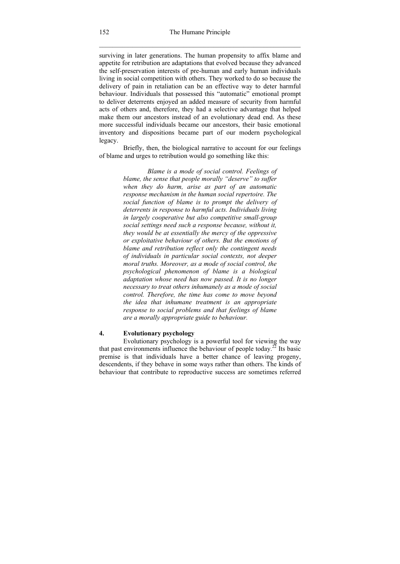surviving in later generations. The human propensity to affix blame and appetite for retribution are adaptations that evolved because they advanced the self-preservation interests of pre-human and early human individuals living in social competition with others. They worked to do so because the delivery of pain in retaliation can be an effective way to deter harmful behaviour. Individuals that possessed this "automatic" emotional prompt to deliver deterrents enjoyed an added measure of security from harmful acts of others and, therefore, they had a selective advantage that helped make them our ancestors instead of an evolutionary dead end. As these more successful individuals became our ancestors, their basic emotional inventory and dispositions became part of our modern psychological legacy.

Briefly, then, the biological narrative to account for our feelings of blame and urges to retribution would go something like this:

> *Blame is a mode of social control. Feelings of blame, the sense that people morally "deserve" to suffer when they do harm, arise as part of an automatic response mechanism in the human social repertoire. The social function of blame is to prompt the delivery of deterrents in response to harmful acts. Individuals living in largely cooperative but also competitive small-group social settings need such a response because, without it, they would be at essentially the mercy of the oppressive or exploitative behaviour of others. But the emotions of blame and retribution reflect only the contingent needs of individuals in particular social contexts, not deeper moral truths. Moreover, as a mode of social control, the psychological phenomenon of blame is a biological adaptation whose need has now passed. It is no longer necessary to treat others inhumanely as a mode of social control. Therefore, the time has come to move beyond the idea that inhumane treatment is an appropriate response to social problems and that feelings of blame are a morally appropriate guide to behaviour.*

### **4. Evolutionary psychology**

Evolutionary psychology is a powerful tool for viewing the way that past environments influence the behaviour of people today.<sup>22</sup> Its basic premise is that individuals have a better chance of leaving progeny, descendents, if they behave in some ways rather than others. The kinds of behaviour that contribute to reproductive success are sometimes referred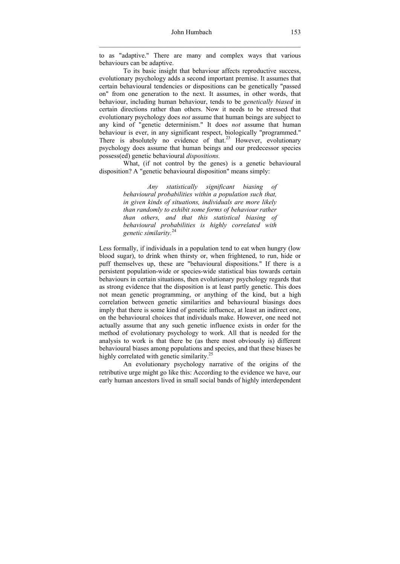to as "adaptive." There are many and complex ways that various behaviours can be adaptive.

To its basic insight that behaviour affects reproductive success, evolutionary psychology adds a second important premise. It assumes that certain behavioural tendencies or dispositions can be genetically "passed on" from one generation to the next. It assumes, in other words, that behaviour, including human behaviour, tends to be *genetically biased* in certain directions rather than others. Now it needs to be stressed that evolutionary psychology does *not* assume that human beings are subject to any kind of "genetic determinism." It does *not* assume that human behaviour is ever, in any significant respect, biologically "programmed." There is absolutely no evidence of that.<sup>23</sup> However, evolutionary psychology does assume that human beings and our predecessor species possess(ed) genetic behavioural *dispositions.*

What, (if not control by the genes) is a genetic behavioural disposition? A "genetic behavioural disposition" means simply:

> *Any statistically significant biasing of behavioural probabilities within a population such that, in given kinds of situations, individuals are more likely than randomly to exhibit some forms of behaviour rather than others, and that this statistical biasing of behavioural probabilities is highly correlated with genetic similarity.*<sup>24</sup>

Less formally, if individuals in a population tend to eat when hungry (low blood sugar), to drink when thirsty or, when frightened, to run, hide or puff themselves up, these are "behavioural dispositions." If there is a persistent population-wide or species-wide statistical bias towards certain behaviours in certain situations, then evolutionary psychology regards that as strong evidence that the disposition is at least partly genetic. This does not mean genetic programming, or anything of the kind, but a high correlation between genetic similarities and behavioural biasings does imply that there is some kind of genetic influence, at least an indirect one, on the behavioural choices that individuals make. However, one need not actually assume that any such genetic influence exists in order for the method of evolutionary psychology to work. All that is needed for the analysis to work is that there be (as there most obviously is) different behavioural biases among populations and species, and that these biases be highly correlated with genetic similarity.<sup>25</sup>

An evolutionary psychology narrative of the origins of the retributive urge might go like this: According to the evidence we have, our early human ancestors lived in small social bands of highly interdependent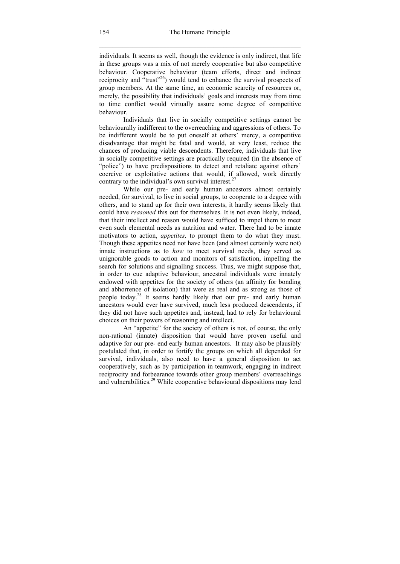individuals. It seems as well, though the evidence is only indirect, that life in these groups was a mix of not merely cooperative but also competitive behaviour. Cooperative behaviour (team efforts, direct and indirect reciprocity and "trust"<sup>26</sup>) would tend to enhance the survival prospects of group members. At the same time, an economic scarcity of resources or, merely, the possibility that individuals' goals and interests may from time to time conflict would virtually assure some degree of competitive behaviour.

Individuals that live in socially competitive settings cannot be behaviourally indifferent to the overreaching and aggressions of others. To be indifferent would be to put oneself at others' mercy, a competitive disadvantage that might be fatal and would, at very least, reduce the chances of producing viable descendents. Therefore, individuals that live in socially competitive settings are practically required (in the absence of "police") to have predispositions to detect and retaliate against others' coercive or exploitative actions that would, if allowed, work directly contrary to the individual's own survival interest. $27$ 

While our pre- and early human ancestors almost certainly needed, for survival, to live in social groups, to cooperate to a degree with others, and to stand up for their own interests, it hardly seems likely that could have *reasoned* this out for themselves. It is not even likely, indeed, that their intellect and reason would have sufficed to impel them to meet even such elemental needs as nutrition and water. There had to be innate motivators to action, *appetites,* to prompt them to do what they must. Though these appetites need not have been (and almost certainly were not) innate instructions as to *how* to meet survival needs, they served as unignorable goads to action and monitors of satisfaction, impelling the search for solutions and signalling success. Thus, we might suppose that, in order to cue adaptive behaviour, ancestral individuals were innately endowed with appetites for the society of others (an affinity for bonding and abhorrence of isolation) that were as real and as strong as those of people today.<sup>28</sup> It seems hardly likely that our pre- and early human ancestors would ever have survived, much less produced descendents, if they did not have such appetites and, instead, had to rely for behavioural choices on their powers of reasoning and intellect.

An "appetite" for the society of others is not, of course, the only non-rational (innate) disposition that would have proven useful and adaptive for our pre- end early human ancestors. It may also be plausibly postulated that, in order to fortify the groups on which all depended for survival, individuals, also need to have a general disposition to act cooperatively, such as by participation in teamwork, engaging in indirect reciprocity and forbearance towards other group members' overreachings and vulnerabilities.<sup>29</sup> While cooperative behavioural dispositions may lend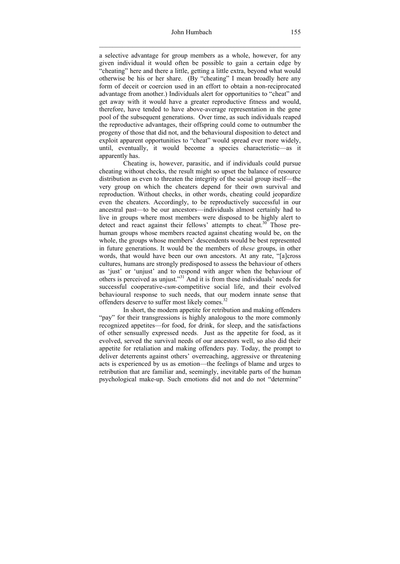a selective advantage for group members as a whole, however, for any given individual it would often be possible to gain a certain edge by "cheating" here and there a little, getting a little extra, beyond what would otherwise be his or her share. (By "cheating" I mean broadly here any form of deceit or coercion used in an effort to obtain a non-reciprocated advantage from another.) Individuals alert for opportunities to "cheat" and get away with it would have a greater reproductive fitness and would, therefore, have tended to have above-average representation in the gene pool of the subsequent generations. Over time, as such individuals reaped the reproductive advantages, their offspring could come to outnumber the progeny of those that did not, and the behavioural disposition to detect and exploit apparent opportunities to "cheat" would spread ever more widely, until, eventually, it would become a species characteristic—as it apparently has.

Cheating is, however, parasitic, and if individuals could pursue cheating without checks, the result might so upset the balance of resource distribution as even to threaten the integrity of the social group itself—the very group on which the cheaters depend for their own survival and reproduction. Without checks, in other words, cheating could jeopardize even the cheaters. Accordingly, to be reproductively successful in our ancestral past—to be our ancestors—individuals almost certainly had to live in groups where most members were disposed to be highly alert to detect and react against their fellows' attempts to cheat.<sup>30</sup> Those prehuman groups whose members reacted against cheating would be, on the whole, the groups whose members' descendents would be best represented in future generations. It would be the members of *these* groups, in other words, that would have been our own ancestors. At any rate, "[a]cross cultures, humans are strongly predisposed to assess the behaviour of others as 'just' or 'unjust' and to respond with anger when the behaviour of others is perceived as unjust."<sup>31</sup> And it is from these individuals' needs for successful cooperative-*cum-*competitive social life, and their evolved behavioural response to such needs, that our modern innate sense that offenders deserve to suffer most likely comes.<sup>32</sup>

In short, the modern appetite for retribution and making offenders "pay" for their transgressions is highly analogous to the more commonly recognized appetites—for food, for drink, for sleep, and the satisfactions of other sensually expressed needs. Just as the appetite for food, as it evolved, served the survival needs of our ancestors well, so also did their appetite for retaliation and making offenders pay. Today, the prompt to deliver deterrents against others' overreaching, aggressive or threatening acts is experienced by us as emotion—the feelings of blame and urges to retribution that are familiar and, seemingly, inevitable parts of the human psychological make-up. Such emotions did not and do not "determine"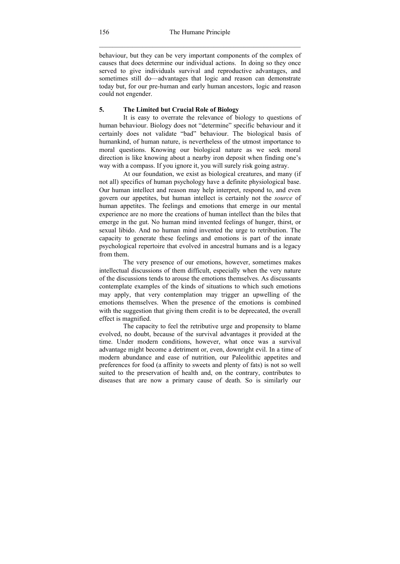behaviour, but they can be very important components of the complex of causes that does determine our individual actions. In doing so they once served to give individuals survival and reproductive advantages, and sometimes still do—advantages that logic and reason can demonstrate today but, for our pre-human and early human ancestors, logic and reason could not engender.

#### **5. The Limited but Crucial Role of Biology**

It is easy to overrate the relevance of biology to questions of human behaviour. Biology does not "determine" specific behaviour and it certainly does not validate "bad" behaviour. The biological basis of humankind, of human nature, is nevertheless of the utmost importance to moral questions. Knowing our biological nature as we seek moral direction is like knowing about a nearby iron deposit when finding one's way with a compass. If you ignore it, you will surely risk going astray.

At our foundation, we exist as biological creatures, and many (if not all) specifics of human psychology have a definite physiological base. Our human intellect and reason may help interpret, respond to, and even govern our appetites, but human intellect is certainly not the *source* of human appetites. The feelings and emotions that emerge in our mental experience are no more the creations of human intellect than the biles that emerge in the gut. No human mind invented feelings of hunger, thirst, or sexual libido. And no human mind invented the urge to retribution. The capacity to generate these feelings and emotions is part of the innate psychological repertoire that evolved in ancestral humans and is a legacy from them.

The very presence of our emotions, however, sometimes makes intellectual discussions of them difficult, especially when the very nature of the discussions tends to arouse the emotions themselves. As discussants contemplate examples of the kinds of situations to which such emotions may apply, that very contemplation may trigger an upwelling of the emotions themselves. When the presence of the emotions is combined with the suggestion that giving them credit is to be deprecated, the overall effect is magnified.

The capacity to feel the retributive urge and propensity to blame evolved, no doubt, because of the survival advantages it provided at the time. Under modern conditions, however, what once was a survival advantage might become a detriment or, even, downright evil. In a time of modern abundance and ease of nutrition, our Paleolithic appetites and preferences for food (a affinity to sweets and plenty of fats) is not so well suited to the preservation of health and, on the contrary, contributes to diseases that are now a primary cause of death. So is similarly our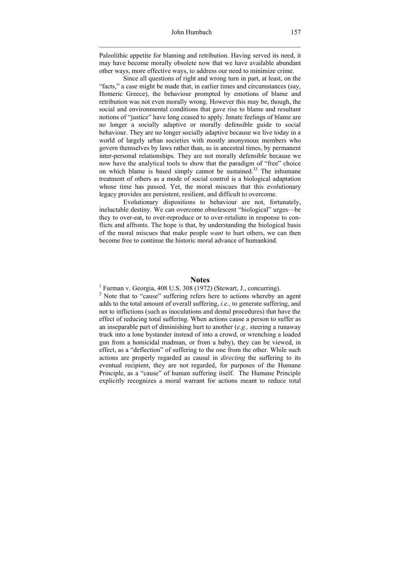Paleolithic appetite for blaming and retribution. Having served its need, it may have become morally obsolete now that we have available abundant other ways, more effective ways, to address our need to minimize crime.

Since all questions of right and wrong turn in part, at least, on the "facts," a case might be made that, in earlier times and circumstances (say, Homeric Greece), the behaviour prompted by emotions of blame and retribution was not even morally wrong. However this may be, though, the social and environmental conditions that gave rise to blame and resultant notions of "justice" have long ceased to apply. Innate feelings of blame are no longer a socially adaptive or morally defensible guide to social behaviour. They are no longer socially adaptive because we live today in a world of largely urban societies with mostly anonymous members who govern themselves by laws rather than, as in ancestral times, by permanent inter-personal relationships. They are not morally defensible because we now have the analytical tools to show that the paradigm of "free" choice on which blame is based simply cannot be sustained.<sup>33</sup> The inhumane treatment of others as a mode of social control is a biological adaptation whose time has passed. Yet, the moral miscues that this evolutionary legacy provides are persistent, resilient, and difficult to overcome.

Evolutionary dispositions to behaviour are not, fortunately, ineluctable destiny. We can overcome obsolescent "biological" urges—be they to over-eat, to over-reproduce or to over-retaliate in response to conflicts and affronts. The hope is that, by understanding the biological basis of the moral miscues that make people *want* to hurt others, we can then become free to continue the historic moral advance of humankind.

#### **Notes**

<sup>1</sup> Furman v. Georgia, 408 U.S. 308 (1972) (Stewart, J., concurring).

<sup>2</sup> Note that to "cause" suffering refers here to actions whereby an agent adds to the total amount of overall suffering, *i.e.,* to generate suffering, and not to inflictions (such as inoculations and dental procedures) that have the effect of reducing total suffering. When actions cause a person to suffer as an inseparable part of diminishing hurt to another (*e.g.,* steering a runaway truck into a lone bystander instead of into a crowd, or wrenching a loaded gun from a homicidal madman, or from a baby), they can be viewed, in effect, as a "deflection" of suffering to the one from the other. While such actions are properly regarded as causal in *directing* the suffering to its eventual recipient, they are not regarded, for purposes of the Humane Principle, as a "cause" of human suffering itself. The Humane Principle explicitly recognizes a moral warrant for actions meant to reduce total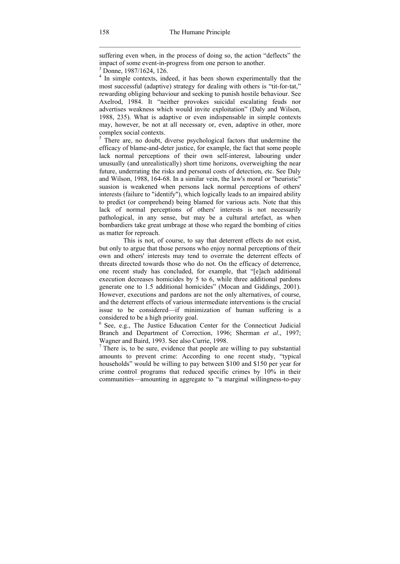suffering even when, in the process of doing so, the action "deflects" the impact of some event-in-progress from one person to another.

<sup>3</sup> Donne, 1987/1624, 126.

<sup>4</sup> In simple contexts, indeed, it has been shown experimentally that the most successful (adaptive) strategy for dealing with others is "tit-for-tat," rewarding obliging behaviour and seeking to punish hostile behaviour. See Axelrod, 1984. It "neither provokes suicidal escalating feuds nor advertises weakness which would invite exploitation" (Daly and Wilson, 1988, 235). What is adaptive or even indispensable in simple contexts may, however, be not at all necessary or, even, adaptive in other, more complex social contexts.

<sup>5</sup> There are, no doubt, diverse psychological factors that undermine the efficacy of blame-and-deter justice, for example, the fact that some people lack normal perceptions of their own self-interest, labouring under unusually (and unrealistically) short time horizons, overweighing the near future, underrating the risks and personal costs of detection, etc. See Daly and Wilson, 1988, 164-68. In a similar vein, the law's moral or "heuristic" suasion is weakened when persons lack normal perceptions of others' interests (failure to "identify"), which logically leads to an impaired ability to predict (or comprehend) being blamed for various acts. Note that this lack of normal perceptions of others' interests is not necessarily pathological, in any sense, but may be a cultural artefact, as when bombardiers take great umbrage at those who regard the bombing of cities as matter for reproach.

This is not, of course, to say that deterrent effects do not exist, but only to argue that those persons who enjoy normal perceptions of their own and others' interests may tend to overrate the deterrent effects of threats directed towards those who do not. On the efficacy of deterrence, one recent study has concluded, for example, that "[e]ach additional execution decreases homicides by 5 to 6, while three additional pardons generate one to 1.5 additional homicides" (Mocan and Giddings, 2001). However, executions and pardons are not the only alternatives, of course, and the deterrent effects of various intermediate interventions is the crucial issue to be considered—if minimization of human suffering is a considered to be a high priority goal.

 $6$  See, e.g., The Justice Education Center for the Connecticut Judicial Branch and Department of Correction, 1996; Sherman *et al*., 1997; Wagner and Baird, 1993. See also Currie, 1998.

 $7$  There is, to be sure, evidence that people are willing to pay substantial amounts to prevent crime: According to one recent study, "typical households" would be willing to pay between \$100 and \$150 per year for crime control programs that reduced specific crimes by 10% in their communities—amounting in aggregate to "a marginal willingness-to-pay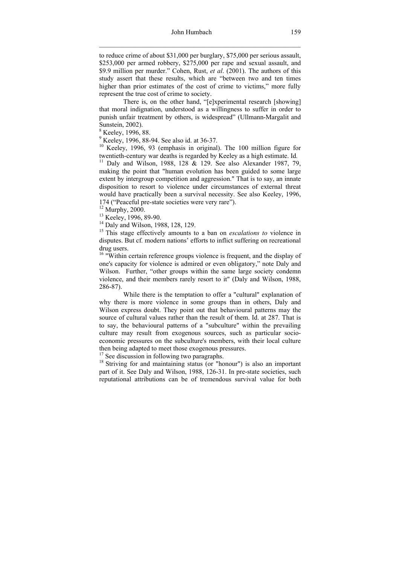to reduce crime of about \$31,000 per burglary, \$75,000 per serious assault, \$253,000 per armed robbery, \$275,000 per rape and sexual assault, and \$9.9 million per murder." Cohen, Rust, *et al*. (2001). The authors of this study assert that these results, which are "between two and ten times higher than prior estimates of the cost of crime to victims," more fully represent the true cost of crime to society.

There is, on the other hand, "[e]xperimental research [showing] that moral indignation, understood as a willingness to suffer in order to punish unfair treatment by others, is widespread" (Ullmann-Margalit and Sunstein, 2002).

8 Keeley, 1996, 88.

<sup>9</sup> Keeley, 1996, 88-94. See also id. at 36-37.

<sup>10</sup> Keeley, 1996, 93 (emphasis in original). The 100 million figure for twentieth-century war deaths is regarded by Keeley as a high estimate. Id*.*

<sup>11</sup> Daly and Wilson, 1988, 128 & 129. See also Alexander 1987, 79, making the point that "human evolution has been guided to some large extent by intergroup competition and aggression." That is to say, an innate disposition to resort to violence under circumstances of external threat would have practically been a survival necessity. See also Keeley, 1996, 174 ("Peaceful pre-state societies were very rare").

 $12$  Murphy, 2000.

<sup>13</sup> Keeley, 1996, 89-90.

<sup>14</sup> Daly and Wilson, 1988, 128, 129.

<sup>15</sup> This stage effectively amounts to a ban on *escalations to violence* in disputes. But cf*.* modern nations' efforts to inflict suffering on recreational drug users.

<sup>16</sup> "Within certain reference groups violence is frequent, and the display of one's capacity for violence is admired or even obligatory," note Daly and Wilson. Further, "other groups within the same large society condemn violence, and their members rarely resort to it" (Daly and Wilson, 1988, 286-87).

While there is the temptation to offer a "cultural" explanation of why there is more violence in some groups than in others, Daly and Wilson express doubt. They point out that behavioural patterns may the source of cultural values rather than the result of them. Id. at 287. That is to say, the behavioural patterns of a "subculture" within the prevailing culture may result from exogenous sources, such as particular socioeconomic pressures on the subculture's members, with their local culture then being adapted to meet those exogenous pressures.

 $17$  See discussion in following two paragraphs.

<sup>18</sup> Striving for and maintaining status (or "honour") is also an important part of it. See Daly and Wilson, 1988, 126-31. In pre-state societies, such reputational attributions can be of tremendous survival value for both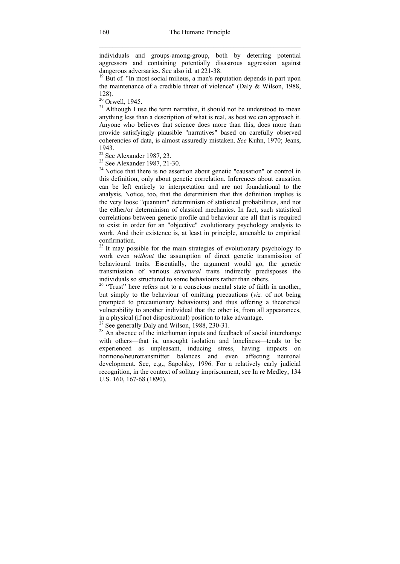individuals and groups-among-group, both by deterring potential aggressors and containing potentially disastrous aggression against dangerous adversaries. See also id*.* at 221-38.

<sup>19</sup> But cf. "In most social milieus, a man's reputation depends in part upon the maintenance of a credible threat of violence" (Daly & Wilson, 1988, 128).

 $21$  Although I use the term narrative, it should not be understood to mean anything less than a description of what is real, as best we can approach it. Anyone who believes that science does more than this, does more than provide satisfyingly plausible "narratives" based on carefully observed coherencies of data, is almost assuredly mistaken. *See* Kuhn, 1970; Jeans, 1943.

 $22$  See Alexander 1987, 23.

<sup>23</sup> See Alexander 1987, 21-30.

 $24$  Notice that there is no assertion about genetic "causation" or control in this definition, only about genetic correlation. Inferences about causation can be left entirely to interpretation and are not foundational to the analysis. Notice, too, that the determinism that this definition implies is the very loose "quantum" determinism of statistical probabilities, and not the either/or determinism of classical mechanics. In fact, such statistical correlations between genetic profile and behaviour are all that is required to exist in order for an "objective" evolutionary psychology analysis to work. And their existence is, at least in principle, amenable to empirical confirmation.

<sup>25</sup> It may possible for the main strategies of evolutionary psychology to work even *without* the assumption of direct genetic transmission of behavioural traits. Essentially, the argument would go, the genetic transmission of various *structural* traits indirectly predisposes the individuals so structured to some behaviours rather than others.

 $26$  "Trust" here refers not to a conscious mental state of faith in another, but simply to the behaviour of omitting precautions (*viz.* of not being prompted to precautionary behaviours) and thus offering a theoretical vulnerability to another individual that the other is, from all appearances, in a physical (if not dispositional) position to take advantage.

 $27$  See generally Daly and Wilson, 1988, 230-31.

<sup>28</sup> An absence of the interhuman inputs and feedback of social interchange with others—that is, unsought isolation and loneliness—tends to be experienced as unpleasant, inducing stress, having impacts on hormone/neurotransmitter balances and even affecting neuronal development. See, e.g., Sapolsky, 1996. For a relatively early judicial recognition, in the context of solitary imprisonment, see In re Medley, 134 U.S. 160, 167-68 (1890).

 $20$  Orwell, 1945.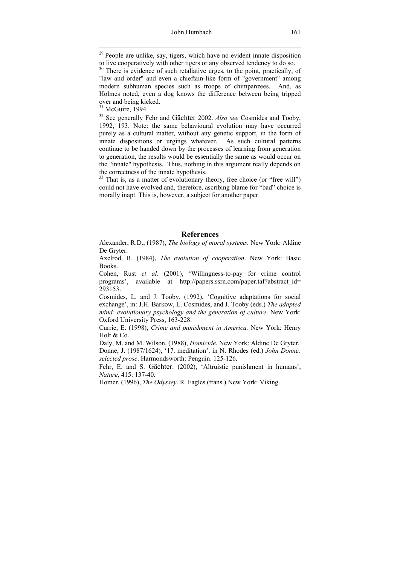$31$  McGuire, 1994.

<sup>32</sup> See generally Fehr and Gächter 2002. *Also see* Cosmides and Tooby, 1992, 193. Note: the same behavioural evolution may have occurred purely as a cultural matter, without any genetic support, in the form of innate dispositions or urgings whatever. As such cultural patterns continue to be handed down by the processes of learning from generation to generation, the results would be essentially the same as would occur on the "innate" hypothesis. Thus, nothing in this argument really depends on the correctness of the innate hypothesis.

 $33$  That is, as a matter of evolutionary theory, free choice (or "free will") could not have evolved and, therefore, ascribing blame for "bad" choice is morally inapt. This is, however, a subject for another paper.

#### **References**

Alexander, R.D., (1987), *The biology of moral systems.* New York: Aldine De Gryter.

Axelrod, R. (1984), *The evolution of cooperation*. New York: Basic Books.

Cohen, Rust *et al*. (2001), 'Willingness-to-pay for crime control programs', available at http://papers.ssrn.com/paper.taf?abstract\_id= 293153.

Cosmides, L. and J. Tooby. (1992), 'Cognitive adaptations for social exchange', in: J.H. Barkow, L. Cosmides, and J. Tooby (eds.) *The adapted mind: evolutionary psychology and the generation of culture*. New York: Oxford University Press, 163-228.

Currie, E. (1998), *Crime and punishment in America.* New York: Henry Holt & Co.

Daly, M. and M. Wilson. (1988), *Homicide*. New York: Aldine De Gryter. Donne, J. (1987/1624), '17. meditation', in N. Rhodes (ed.) *John Donne: selected prose*. Harmondsworth: Penguin. 125-126.

Fehr, E. and S. Gächter. (2002), 'Altruistic punishment in humans', *Nature*, 415: 137-40.

Homer. (1996), *The Odyssey*. R. Fagles (trans.) New York: Viking.

 $29$  People are unlike, say, tigers, which have no evident innate disposition to live cooperatively with other tigers or any observed tendency to do so.

<sup>&</sup>lt;sup>30</sup> There is evidence of such retaliative urges, to the point, practically, of "law and order" and even a chieftain-like form of "government" among modern subhuman species such as troops of chimpanzees. And, as Holmes noted, even a dog knows the difference between being tripped over and being kicked.